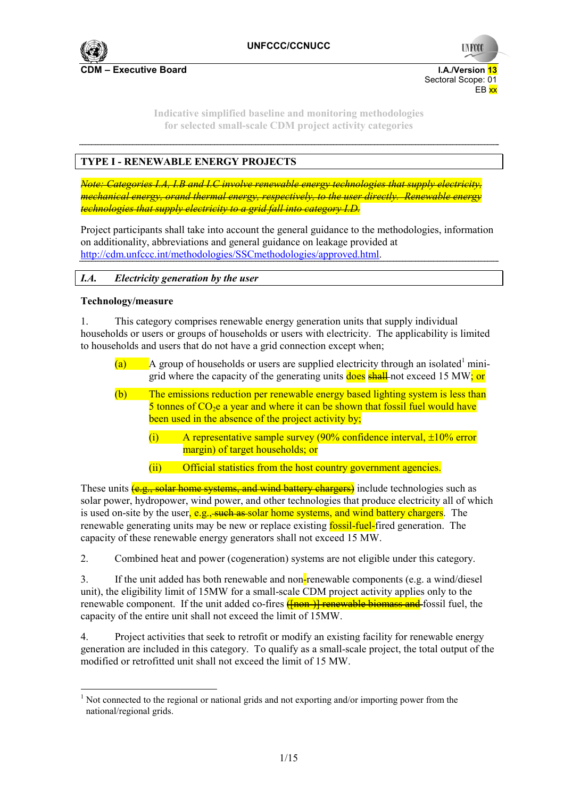

**UNFCC** 

**Indicative simplified baseline and monitoring methodologies for selected small-scale CDM project activity categories** 

# **TYPE I - RENEWABLE ENERGY PROJECTS**

*Note: Categories I.A, I.B and I.C involve renewable energy technologies that supply electricity, mechanical energy, orand thermal energy, respectively, to the user directly. Renewable energy technologies that supply electricity to a grid fall into category I.D.* 

Project participants shall take into account the general guidance to the methodologies, information on additionality, abbreviations and general guidance on leakage provided at http://cdm.unfccc.int/methodologies/SSCmethodologies/approved.html.

### *I.A. Electricity generation by the user*

#### **Technology/measure**

1. This category comprises renewable energy generation units that supply individual households or users or groups of households or users with electricity. The applicability is limited to households and users that do not have a grid connection except when;

- (a) A group of households or users are supplied electricity through an isolated minigrid where the capacity of the generating units **does** shall not exceed 15 MW; or
- (b) The emissions reduction per renewable energy based lighting system is less than 5 tonnes of  $CO<sub>2</sub>e$  a year and where it can be shown that fossil fuel would have been used in the absence of the project activity by;
	- (i) A representative sample survey  $(90\% \text{ confidence interval}, \pm 10\% \text{ error})$ margin) of target households; or
	- (ii) Official statistics from the host country government agencies.

These units (e.g., solar home systems, and wind battery chargers) include technologies such as solar power, hydropower, wind power, and other technologies that produce electricity all of which is used on-site by the user,  $e.g.,$  such as solar home systems, and wind battery chargers. The renewable generating units may be new or replace existing **fossil-fuel-**fired generation. The capacity of these renewable energy generators shall not exceed 15 MW.

2. Combined heat and power (cogeneration) systems are not eligible under this category.

3. If the unit added has both renewable and non-renewable components (e.g. a wind/diesel unit), the eligibility limit of 15MW for a small-scale CDM project activity applies only to the renewable component. If the unit added co-fires  $\frac{f}{f}$  ( $\frac{f}{f}$   $\frac{f}{f}$   $\frac{f}{f}$   $\frac{f}{f}$   $\frac{f}{f}$   $\frac{f}{f}$   $\frac{f}{f}$   $\frac{f}{f}$   $\frac{f}{f}$   $\frac{f}{f}$   $\frac{f}{f}$   $\frac{f}{f}$   $\frac{f}{f}$   $\frac{f}{f}$   $\frac{f}{f}$   $\frac{f}{f}$   $\$ capacity of the entire unit shall not exceed the limit of 15MW.

4. Project activities that seek to retrofit or modify an existing facility for renewable energy generation are included in this category. To qualify as a small-scale project, the total output of the modified or retrofitted unit shall not exceed the limit of 15 MW.

 $<sup>1</sup>$  Not connected to the regional or national grids and not exporting and/or importing power from the</sup> national/regional grids.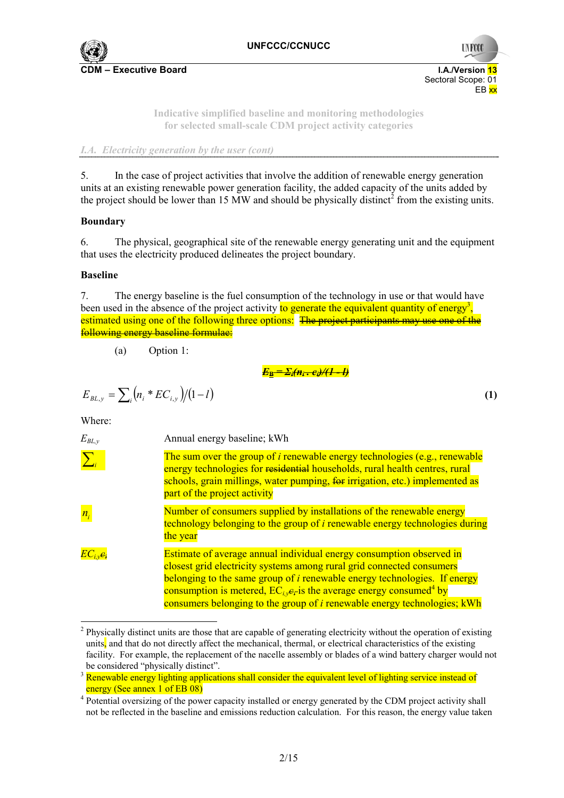

> **Indicative simplified baseline and monitoring methodologies for selected small-scale CDM project activity categories**

*I.A. Electricity generation by the user (cont)*

5. In the case of project activities that involve the addition of renewable energy generation units at an existing renewable power generation facility, the added capacity of the units added by the project should be lower than 15 MW and should be physically distinct<sup>2</sup> from the existing units.

### **Boundary**

6. The physical, geographical site of the renewable energy generating unit and the equipment that uses the electricity produced delineates the project boundary.

#### **Baseline**

7. The energy baseline is the fuel consumption of the technology in use or that would have been used in the absence of the project activity to generate the equivalent quantity of energy<sup>3</sup>, estimated using one of the following three options: The project participants may use one of the following energy baseline formulae:

(a) Option 1:

*E***<sup>B</sup>** *= Σi(ni . ci)/(1 - l)*

$$
E_{BL,y} = \sum_{i} \left( n_i * EC_{i,y} \right) / (1 - l) \tag{1}
$$

Where:

*EBL,y* Annual energy baseline; kWh

|                           | The sum over the group of <i>i</i> renewable energy technologies (e.g., renewable<br>energy technologies for residential households, rural health centres, rural<br>schools, grain millings, water pumping, for irrigation, etc.) implemented as<br>part of the project activity                                                                                                                                           |
|---------------------------|----------------------------------------------------------------------------------------------------------------------------------------------------------------------------------------------------------------------------------------------------------------------------------------------------------------------------------------------------------------------------------------------------------------------------|
| $n_i$                     | Number of consumers supplied by installations of the renewable energy<br>technology belonging to the group of <i>i</i> renewable energy technologies during<br>the year                                                                                                                                                                                                                                                    |
| $EC_{i,\nu}$ $\epsilon_i$ | Estimate of average annual individual energy consumption observed in<br>closest grid electricity systems among rural grid connected consumers<br>belonging to the same group of <i>i</i> renewable energy technologies. If energy<br>consumption is metered, $EC_{i\nu} \epsilon_{\tau}$ is the average energy consumed <sup>4</sup> by<br>consumers belonging to the group of <i>i</i> renewable energy technologies; kWh |

 $2$  Physically distinct units are those that are capable of generating electricity without the operation of existing units, and that do not directly affect the mechanical, thermal, or electrical characteristics of the existing facility. For example, the replacement of the nacelle assembly or blades of a wind battery charger would not be considered "physically distinct".

<sup>&</sup>lt;sup>3</sup> Renewable energy lighting applications shall consider the equivalent level of lighting service instead of energy (See annex 1 of EB 08)

<sup>&</sup>lt;sup>4</sup> Potential oversizing of the power capacity installed or energy generated by the CDM project activity shall not be reflected in the baseline and emissions reduction calculation. For this reason, the energy value taken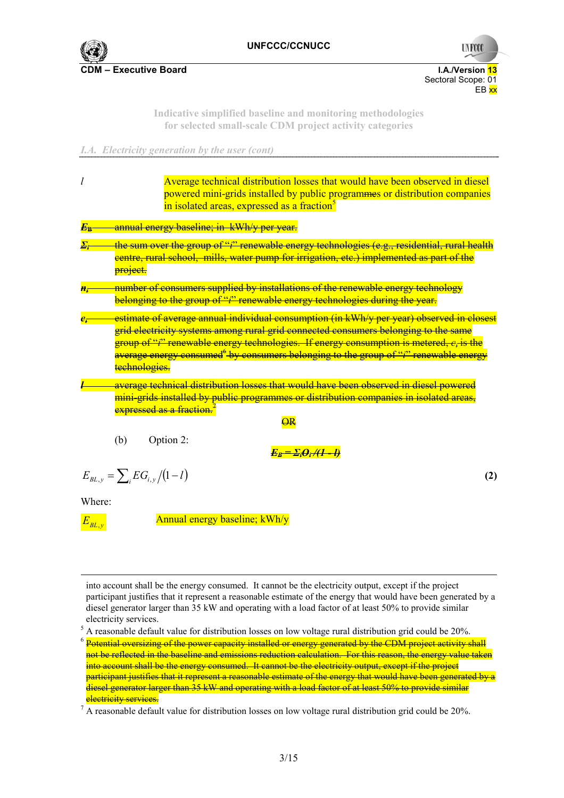

**UNFCC** 

**Indicative simplified baseline and monitoring methodologies for selected small-scale CDM project activity categories** 

*I.A. Electricity generation by the user (cont)*

|                       | Average technical distribution losses that would have been observed in diesel<br>powered mini-grids installed by public programies or distribution companies<br>in isolated areas, expressed as a fraction <sup>5</sup>                                                                                                                                                                                      |     |
|-----------------------|--------------------------------------------------------------------------------------------------------------------------------------------------------------------------------------------------------------------------------------------------------------------------------------------------------------------------------------------------------------------------------------------------------------|-----|
| $\bm{E}_{\mathbf{R}}$ | annual energy baseline; in kWh/y per year.                                                                                                                                                                                                                                                                                                                                                                   |     |
|                       | the sum over the group of "i" renewable energy technologies (e.g., residential, rural health<br>centre, rural school, mills, water pump for irrigation, etc.) implemented as part of the<br><del>project.</del>                                                                                                                                                                                              |     |
|                       | number of consumers supplied by installations of the renewable energy technology<br>belonging to the group of " <i>i</i> " renewable energy technologies during the year.                                                                                                                                                                                                                                    |     |
|                       | estimate of average annual individual consumption (in kWh/y per year) observed in closest<br>grid electricity systems among rural grid connected consumers belonging to the same<br>group of " <i>i</i> " renewable energy technologies. If energy consumption is metered, $e_t$ is the<br>average energy consumed <sup>6</sup> by consumers belonging to the group of "i" renewable energy<br>technologies. |     |
|                       | average technical distribution losses that would have been observed in diesel powered<br>mini-grids installed by public programmes or distribution companies in isolated areas,<br>expressed as a fraction. <sup>7</sup>                                                                                                                                                                                     |     |
|                       | Option 2:<br>(b)<br>$E_{\scriptscriptstyle R}$ = $\Sigma_i \theta_i$ /(1                                                                                                                                                                                                                                                                                                                                     |     |
|                       | $E_{BL, v} = \sum_i EG_{i, v}/(1-l)$                                                                                                                                                                                                                                                                                                                                                                         | (2) |

Where:

 $\overline{a}$ 

*E<sub>BL, y</sub>* **Annual energy baseline; kWh/y** 

into account shall be the energy consumed. It cannot be the electricity output, except if the project participant justifies that it represent a reasonable estimate of the energy that would have been generated by a diesel generator larger than 35 kW and operating with a load factor of at least 50% to provide similar electricity services.

 $<sup>5</sup>$  A reasonable default value for distribution losses on low voltage rural distribution grid could be 20%.</sup>

<sup>&</sup>lt;sup>6</sup> Potential oversizing of the power capacity installed or energy generated by the CDM project activity shall not be reflected in the baseline and emissions reduction calculation. For this reason, the energy value taken into account shall be the energy consumed. It cannot be the electricity output, except if the project participant justifies that it represent a reasonable estimate of the energy that would have been generated by a diesel generator larger than 35 kW and operating with a load factor of at least 50% to provide similar electricity services.

 $<sup>7</sup>$  A reasonable default value for distribution losses on low voltage rural distribution grid could be 20%.</sup>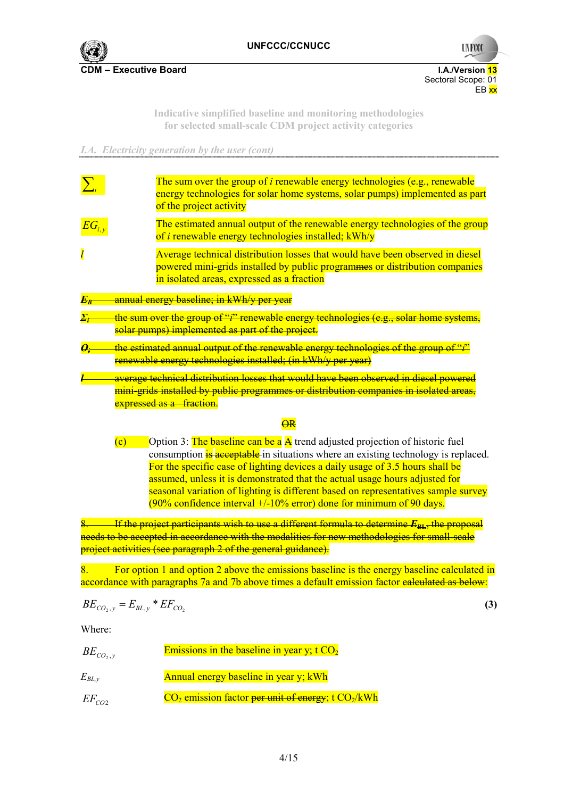

**UNFCCC** 

**Indicative simplified baseline and monitoring methodologies for selected small-scale CDM project activity categories** 

# *I.A. Electricity generation by the user (cont)*

| The sum over the group of <i>i</i> renewable energy technologies (e.g., renewable<br>energy technologies for solar home systems, solar pumps) implemented as part<br>of the project activity                                                                                                                                                                                                                                                                                                                                        |
|-------------------------------------------------------------------------------------------------------------------------------------------------------------------------------------------------------------------------------------------------------------------------------------------------------------------------------------------------------------------------------------------------------------------------------------------------------------------------------------------------------------------------------------|
| The estimated annual output of the renewable energy technologies of the group<br>$EG_i^-$<br>of <i>i</i> renewable energy technologies installed; kWh/y                                                                                                                                                                                                                                                                                                                                                                             |
| Average technical distribution losses that would have been observed in diesel<br>powered mini-grids installed by public programines or distribution companies<br>in isolated areas, expressed as a fraction                                                                                                                                                                                                                                                                                                                         |
| annual energy baseline; in kWh/y per year                                                                                                                                                                                                                                                                                                                                                                                                                                                                                           |
| the sum over the group of "i" renewable energy technologies (e.g., solar home systems,<br>solar pumps) implemented as part of the project.                                                                                                                                                                                                                                                                                                                                                                                          |
| the estimated annual output of the renewable energy technologies of the group of "i"<br>renewable energy technologies installed; (in kWh/y per year)                                                                                                                                                                                                                                                                                                                                                                                |
| average technical distribution losses that would have been observed in diesel powered<br>mini-grids installed by public programmes or distribution companies in isolated areas,<br>expressed as a fraction.                                                                                                                                                                                                                                                                                                                         |
| $\overline{\Theta{\bf R}}$                                                                                                                                                                                                                                                                                                                                                                                                                                                                                                          |
| $\overline{c}$<br>Option 3: The baseline can be a $\overline{A}$ trend adjusted projection of historic fuel<br>consumption is acceptable in situations where an existing technology is replaced.<br>For the specific case of lighting devices a daily usage of 3.5 hours shall be<br>assumed, unless it is demonstrated that the actual usage hours adjusted for<br>seasonal variation of lighting is different based on representatives sample survey<br>$(90\%$ confidence interval $+/-10\%$ error) done for minimum of 90 days. |
| $\frac{8.}{100}$ If the project participants wish to use a different formula to determine $E_{BL}$ , the proposal<br>needs to be accepted in accordance with the modalities for new methodologies for small scale<br>project activities (see paragraph 2 of the general guidance).                                                                                                                                                                                                                                                  |
| For option 1 and option 2 above the emissions baseline is the energy baseline calculated in<br>8.<br>accordance with paragraphs 7a and 7b above times a default emission factor ealeulated as below:                                                                                                                                                                                                                                                                                                                                |
| $BE_{CO_2, v} = E_{BL, v} * EF_{CO_2}$<br>(3)                                                                                                                                                                                                                                                                                                                                                                                                                                                                                       |
| Where:                                                                                                                                                                                                                                                                                                                                                                                                                                                                                                                              |

| $BE_{CO_2,y}$ | Emissions in the baseline in year y; t $CO2$          |
|---------------|-------------------------------------------------------|
| $E_{BL,\nu}$  | Annual energy baseline in year y; kWh                 |
| $EF_{CO2}$    | $CO2$ emission factor per unit of energy; t $CO2/kWh$ |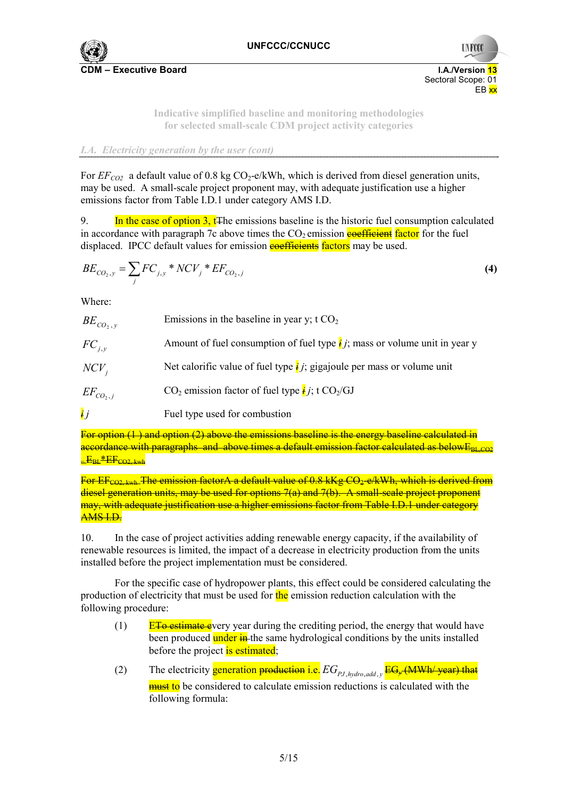

> **Indicative simplified baseline and monitoring methodologies for selected small-scale CDM project activity categories**

## *I.A. Electricity generation by the user (cont)*

For  $EF_{CO2}$  a default value of 0.8 kg  $CO_2$ -e/kWh, which is derived from diesel generation units, may be used. A small-scale project proponent may, with adequate justification use a higher emissions factor from Table I.D.1 under category AMS I.D.

9. In the case of option 3, t<sub>T</sub>he emissions baseline is the historic fuel consumption calculated in accordance with paragraph 7c above times the  $CO<sub>2</sub>$  emission **coefficient** factor for the fuel displaced. IPCC default values for emission **evertificients** factors may be used.

$$
BE_{CO_2,y} = \sum_{j} FC_{j,y} * NCV_j * EF_{CO_2,j}
$$
 (4)

Where:

| $BE_{CO_2, v}$ | Emissions in the baseline in year y; t $CO2$                                                   |
|----------------|------------------------------------------------------------------------------------------------|
| $FC_{i,v}$     | Amount of fuel consumption of fuel type $\frac{1}{r}$ <i>j</i> ; mass or volume unit in year y |
| $NCV_i$        | Net calorific value of fuel type $\frac{1}{i}j$ ; gigajoule per mass or volume unit            |
| $EF_{CO_2,i}$  | $CO2$ emission factor of fuel type $\frac{1}{2}$ j; t $CO2/GI$                                 |
| $\frac{1}{l}j$ | Fuel type used for combustion                                                                  |

For option  $(1)$  and option  $(2)$  above the emissions baseline is the energy baseline calculated in accordance with paragraphs, and above times a default emission factor calculated as belowE<sub>BL,CO2</sub>  $E_{\rm BL}$ \* $E_{\rm CO2, kwh}$ 

For  $EF_{CQ2, kwh}$  The emission factor A a default value of 0.8 kKg  $CO<sub>2</sub>$  e/kWh, which is derived from diesel generation units, may be used for options 7(a) and 7(b). A small-scale project proponent may, with adequate justification use a higher emissions factor from Table I.D.1 under category AMS I.D.

10. In the case of project activities adding renewable energy capacity, if the availability of renewable resources is limited, the impact of a decrease in electricity production from the units installed before the project implementation must be considered.

For the specific case of hydropower plants, this effect could be considered calculating the production of electricity that must be used for the emission reduction calculation with the following procedure:

- $(1)$  Example Example Every year during the crediting period, the energy that would have been produced under in the same hydrological conditions by the units installed before the project is estimated;
- (2) The electricity **generation <del>production</del>** i.e.  $EG_{pJ,hydro,add, y}$  **EG<sub>y</sub> (MWh/ year) that must to** be considered to calculate emission reductions is calculated with the following formula: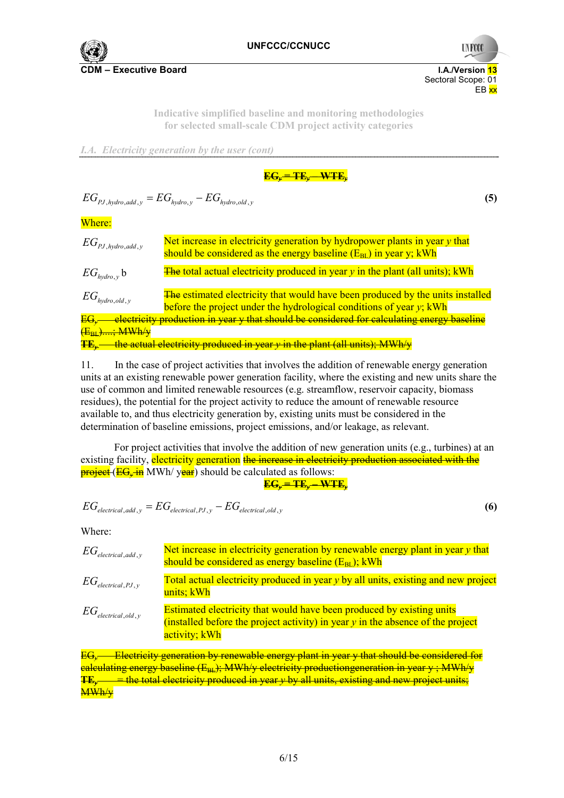

**UNFCC** 

**Indicative simplified baseline and monitoring methodologies for selected small-scale CDM project activity categories** 

*I.A. Electricity generation by the user (cont)*

 $EG_y = TE_y - WTF_y$ 

 $EG_{PJ, hvdro, add, y} = EG_{hvdro, y} - EG_{hvdro, old, y}$  (5)

### Where:

| $EG_{PJ, hydro,add,y}$     | Net increase in electricity generation by hydropower plants in year $y$ that<br>should be considered as the energy baseline $(E_{BI})$ in year y; kWh           |
|----------------------------|-----------------------------------------------------------------------------------------------------------------------------------------------------------------|
| $EG_{hydro, y}$ b          | <b>The total actual electricity produced in year y in the plant (all units); kWh</b>                                                                            |
| $EG_{hydro, old, y}$       | <b>The estimated electricity that would have been produced by the units installed</b><br>before the project under the hydrological conditions of year $y$ ; kWh |
| $\mathrm{EG}_\ast$ ——      | electricity production in year y that should be considered for calculating energy baseline                                                                      |
| (E <sub>BL</sub> ); MWh/y  |                                                                                                                                                                 |
| $\overline{\text{TE}}$ r — | the actual electricity produced in year $y$ in the plant (all units); $\text{MWh/y}$                                                                            |

11. In the case of project activities that involves the addition of renewable energy generation units at an existing renewable power generation facility, where the existing and new units share the use of common and limited renewable resources (e.g. streamflow, reservoir capacity, biomass residues), the potential for the project activity to reduce the amount of renewable resource available to, and thus electricity generation by, existing units must be considered in the determination of baseline emissions, project emissions, and/or leakage, as relevant.

For project activities that involve the addition of new generation units (e.g., turbines) at an existing facility, electricity generation the increase in electricity production associated with the **project** (**EG<sub>y</sub>** in MWh/ year) should be calculated as follows:

$$
\overline{\textbf{EG}_{y}} = \overline{\textbf{TE}_{y}} - \overline{\textbf{WTE}_{y}}
$$

$$
EG_{electrical, add, y} = EG_{electrical, PJ, y} - EG_{electrical, old, y}
$$
(6)

Where:

| $EG_{electrical, add, y}$ | Net increase in electricity generation by renewable energy plant in year $y$ that<br>should be considered as energy baseline $(E_{BL})$ ; kWh                                      |
|---------------------------|------------------------------------------------------------------------------------------------------------------------------------------------------------------------------------|
| $EG_{electrical, PJ, y}$  | Total actual electricity produced in year y by all units, existing and new project<br>units; kWh                                                                                   |
| $EG_{electrical,old, y}$  | <b>Estimated electricity that would have been produced by existing units</b><br>(installed before the project activity) in year $y$ in the absence of the project<br>activity; kWh |

EG*<sup>y</sup>* Electricity generation by renewable energy plant in year y that should be considered for calculating energy baseline ( $E_{\text{BL}}$ ); MWh/y electricity productiongeneration in year y ; MWh/y **TE***y* = the total electricity produced in year *y* by all units, existing and new project units; MWh/y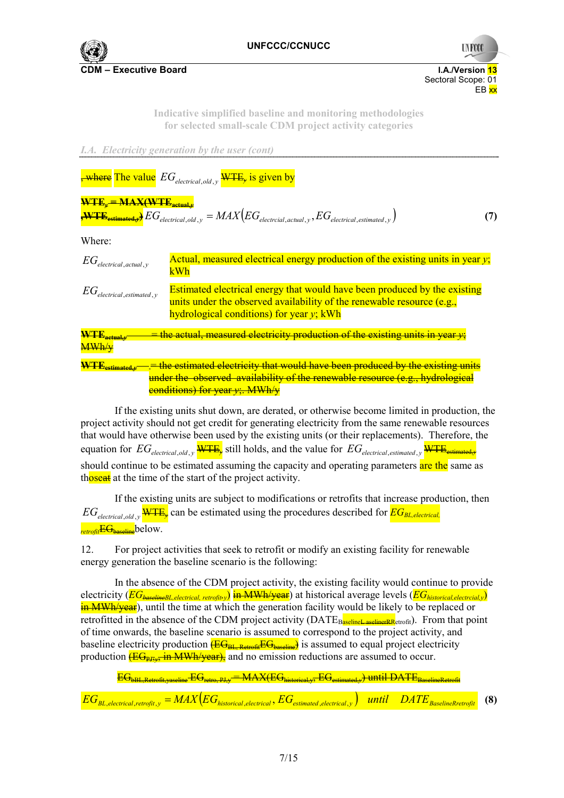

**UNFCC** 

**Indicative simplified baseline and monitoring methodologies for selected small-scale CDM project activity categories** 

*I.A. Electricity generation by the user (cont)*



If the existing units shut down, are derated, or otherwise become limited in production, the project activity should not get credit for generating electricity from the same renewable resources that would have otherwise been used by the existing units (or their replacements). Therefore, the equation for  $EG_{electrical\ old}$ ,  $\frac{WTE_p}{WTE_p}$  still holds, and the value for  $EG_{electrical\ estimated}$ ,  $\frac{WTE_{estimated,y}}{WTE_{estimated} + WTE_{cylinder}}$ should continue to be estimated assuming the capacity and operating parameters are the same as those at the time of the start of the project activity.

If the existing units are subject to modifications or retrofits that increase production, then  $EG_{electrical, old, y}$   $\overline{WTE_y}$  can be estimated using the procedures described for  $EG_{BL, electrical}$ *retrofit*EGbaselinebelow.

12. For project activities that seek to retrofit or modify an existing facility for renewable energy generation the baseline scenario is the following:

In the absence of the CDM project activity, the existing facility would continue to provide electricity (*EG<sub>baselineBL,electrical, retrofity*) in MWh/year) at historical average levels (*EG<sub>historical, electrcial,y*)</sub></sub> in MWh/year), until the time at which the generation facility would be likely to be replaced or retrofitted in the absence of the CDM project activity (DATE<sub>BaselineLaselineRRetrofit</sub>). From that point of time onwards, the baseline scenario is assumed to correspond to the project activity, and baseline electricity production  $\sqrt{\text{EG}_{\text{BL-Retrofile}}\text{EG}_{\text{baseline}}}$  is assumed to equal project electricity production  $\sqrt{EG_{PI_{32}}}$ , in MWh/year), and no emission reductions are assumed to occur.

EGbBL,Retrofit,yaseline EGretro, PJ,y = MAX(EGhistorical,y, EGestimated,*y*) until DATEBaselineRetrofit

 $EG_{BL\; electrical\; retrofit}$   $_{v} = MAX(EG_{historical\; electrical}, EG_{estimated\; electrical\; v})$  until  $DATE_{RacelineRretroft}$  (8)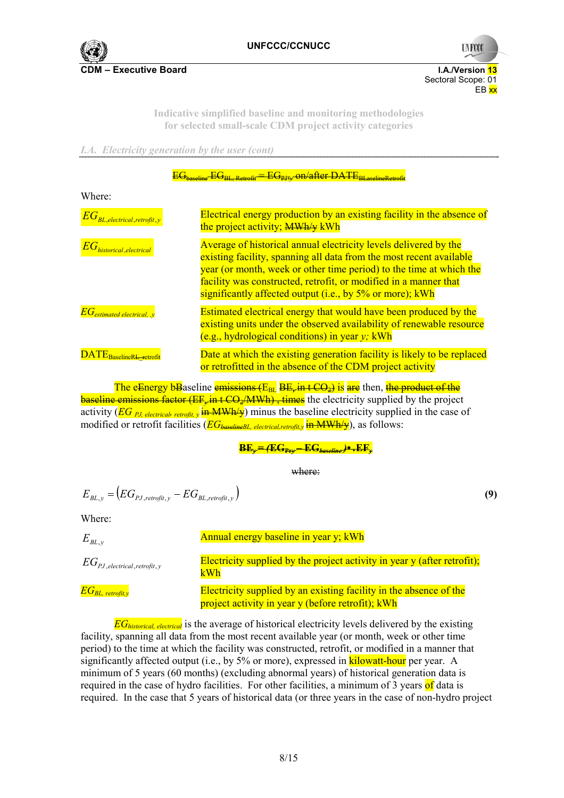

**CDM – Executive Board I.A./Version 13** 

 Sectoral Scope: 01 en de la provincia de la provincia de la provincia de la provincia de la provincia de la provincia de la provi

**UNFCO** 

**Indicative simplified baseline and monitoring methodologies for selected small-scale CDM project activity categories** 

*I.A. Electricity generation by the user (cont)*

# EG<sub>baseline</sub> EG<sub>BL, Retrofit</sub> = EG<sub>PL,</sub>, on/after DATE<sub>BL</sub>

| Where:                                      |                                                                                                                                                                                                                                                                                                                                                |
|---------------------------------------------|------------------------------------------------------------------------------------------------------------------------------------------------------------------------------------------------------------------------------------------------------------------------------------------------------------------------------------------------|
| $\overline{EG}_{BL,electrical, retrofit,y}$ | Electrical energy production by an existing facility in the absence of<br>the project activity; MWh/y kWh                                                                                                                                                                                                                                      |
| $EG_{historical, electrical}$               | Average of historical annual electricity levels delivered by the<br>existing facility, spanning all data from the most recent available<br>year (or month, week or other time period) to the time at which the<br>facility was constructed, retrofit, or modified in a manner that<br>significantly affected output (i.e., by 5% or more); kWh |
| $EG_{estimated\, electrical,\, ,y}$         | Estimated electrical energy that would have been produced by the<br>existing units under the observed availability of renewable resource<br>$(e.g., hydrological conditions)$ in year y; kWh                                                                                                                                                   |
| DATE <sub>BaselineRL</sub> -retrofit        | Date at which the existing generation facility is likely to be replaced<br>or retrofitted in the absence of the CDM project activity                                                                                                                                                                                                           |

The eEnergy bBaseline **emissions**  $(E_{BL} B E_x \text{ in } t C Q_2)$  is are then, the product of the baseline emissions factor (EF<sub>y</sub> in t CO<sub>2</sub>/MWh), times the electricity supplied by the project activity (*EG <sub>PJ, electrical, retrofit, y* in MWh/y) minus the baseline electricity supplied in the case of</sub> modified or retrofit facilities (*EG<sub>baselineBL, electrical,retrofit*, **in MWh/y**), as follows:</sub>

#### $\overline{\textbf{BE}_{\textbf{y}}} = \overline{\textbf{E}} \overline{\textbf{G}}_{\textbf{Pfw}} - \overline{\textbf{E}} \overline{\textbf{G}}_{\textbf{baseline}} \}$  . EF<sub>*y*</sub>

where:

$$
E_{BL,y} = (EG_{PJ,retrofit,y} - EG_{BL,retrofit,y})
$$
\n(9)

Where:

*E<sub>BL</sub>*, *E<sub>BL</sub>*, *P* Annual energy baseline in year y; kWh *EG<sub>PI</sub> electrical retrofit*, *y* Electricity supplied by the project activity in year y (after retrofit); kWh *EG<sub>BL, retrofit,v* **Electricity supplied by an existing facility in the absence of the**</sub> project activity in year y (before retrofit); kWh

*EGhistorical, electrical* is the average of historical electricity levels delivered by the existing facility, spanning all data from the most recent available year (or month, week or other time period) to the time at which the facility was constructed, retrofit, or modified in a manner that significantly affected output (i.e., by  $5\%$  or more), expressed in **kilowatt-hour** per year. A minimum of 5 years (60 months) (excluding abnormal years) of historical generation data is required in the case of hydro facilities. For other facilities, a minimum of 3 years of data is required. In the case that 5 years of historical data (or three years in the case of non-hydro project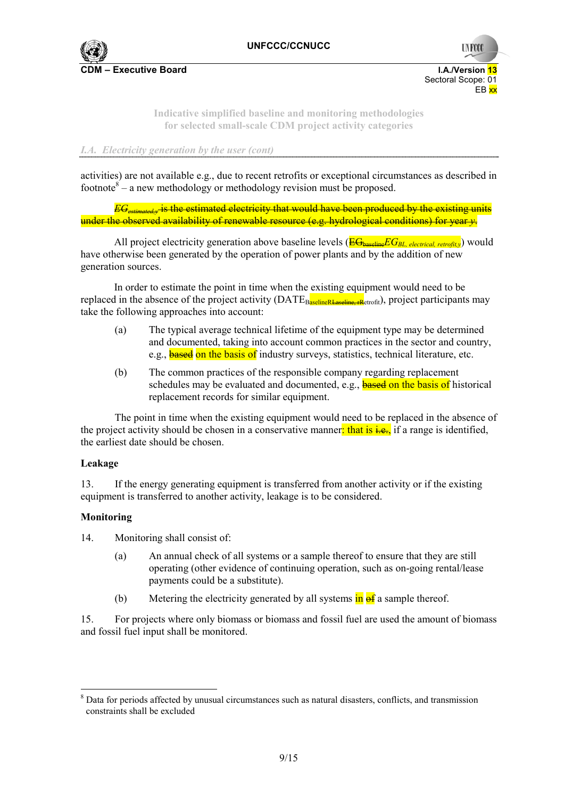

**UNFCC** 

**Indicative simplified baseline and monitoring methodologies for selected small-scale CDM project activity categories** 

## *I.A. Electricity generation by the user (cont)*

activities) are not available e.g., due to recent retrofits or exceptional circumstances as described in footnote $8 - a$  new methodology or methodology revision must be proposed.

*EGestimated,y* is the estimated electricity that would have been produced by the existing units under the observed availability of renewable resource (e.g. hydrological conditions) for year *y*.

All project electricity generation above baseline levels ( $\overline{EG}_{\text{baseline}}EG_{BL, \text{electrical, retrofit},y}$ ) would have otherwise been generated by the operation of power plants and by the addition of new generation sources.

In order to estimate the point in time when the existing equipment would need to be replaced in the absence of the project activity ( $\text{DATE}$  $\text{Base}$  $\text{Base}$  $\text{Base}$ <sub>rRetrofit</sub>), project participants may take the following approaches into account:

- (a) The typical average technical lifetime of the equipment type may be determined and documented, taking into account common practices in the sector and country, e.g., **based** on the basis of industry surveys, statistics, technical literature, etc.
- (b) The common practices of the responsible company regarding replacement schedules may be evaluated and documented, e.g., **based on the basis of** historical replacement records for similar equipment.

The point in time when the existing equipment would need to be replaced in the absence of the project activity should be chosen in a conservative manner: that is  $\frac{1}{1}$ . if a range is identified, the earliest date should be chosen.

#### **Leakage**

13. If the energy generating equipment is transferred from another activity or if the existing equipment is transferred to another activity, leakage is to be considered.

### **Monitoring**

14. Monitoring shall consist of:

- (a) An annual check of all systems or a sample thereof to ensure that they are still operating (other evidence of continuing operation, such as on-going rental/lease payments could be a substitute).
- (b) Metering the electricity generated by all systems  $\frac{d}{dx}$  a sample thereof.

15. For projects where only biomass or biomass and fossil fuel are used the amount of biomass and fossil fuel input shall be monitored.

<sup>&</sup>lt;sup>8</sup> Data for periods affected by unusual circumstances such as natural disasters, conflicts, and transmission constraints shall be excluded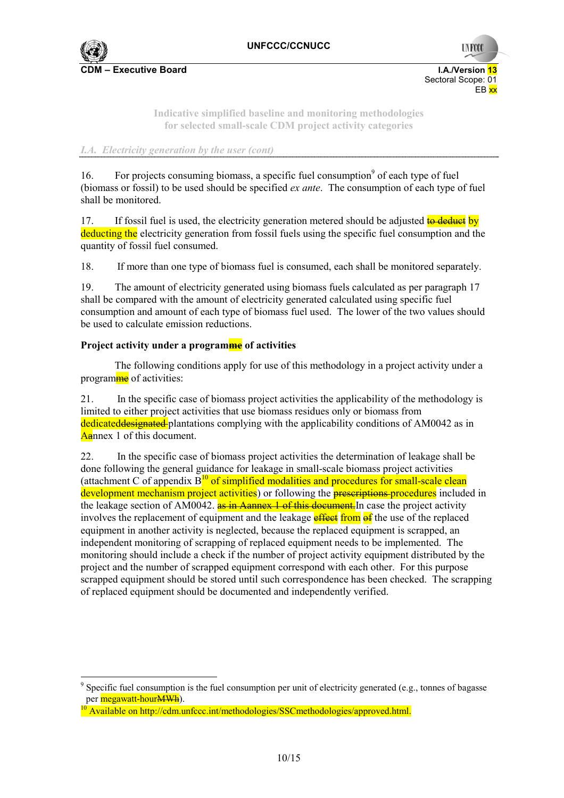**UNFCO**  Sectoral Scope: 01 en de la provincia de la provincia de la provincia de la provincia de la provincia de la provincia de la provi

> **Indicative simplified baseline and monitoring methodologies for selected small-scale CDM project activity categories**

#### *I.A. Electricity generation by the user (cont)*

16. For projects consuming biomass, a specific fuel consumption<sup>9</sup> of each type of fuel (biomass or fossil) to be used should be specified *ex ante*. The consumption of each type of fuel shall be monitored.

17. If fossil fuel is used, the electricity generation metered should be adjusted to deduct by deducting the electricity generation from fossil fuels using the specific fuel consumption and the quantity of fossil fuel consumed.

18. If more than one type of biomass fuel is consumed, each shall be monitored separately.

19. The amount of electricity generated using biomass fuels calculated as per paragraph 17 shall be compared with the amount of electricity generated calculated using specific fuel consumption and amount of each type of biomass fuel used. The lower of the two values should be used to calculate emission reductions.

### **Project activity under a programme of activities**

The following conditions apply for use of this methodology in a project activity under a programine of activities:

21. In the specific case of biomass project activities the applicability of the methodology is limited to either project activities that use biomass residues only or biomass from dedicated designated plantations complying with the applicability conditions of AM0042 as in Aannex 1 of this document.

22. In the specific case of biomass project activities the determination of leakage shall be done following the general guidance for leakage in small-scale biomass project activities (attachment C of appendix  $B<sup>10</sup>$  of simplified modalities and procedures for small-scale clean development mechanism project activities) or following the **prescriptions** procedures included in the leakage section of AM0042.  $\frac{1}{100}$  as in Aannex 1 of this document. In case the project activity involves the replacement of equipment and the leakage **effect** from  $\theta$  af the use of the replaced equipment in another activity is neglected, because the replaced equipment is scrapped, an independent monitoring of scrapping of replaced equipment needs to be implemented. The monitoring should include a check if the number of project activity equipment distributed by the project and the number of scrapped equipment correspond with each other. For this purpose scrapped equipment should be stored until such correspondence has been checked. The scrapping of replaced equipment should be documented and independently verified.

<sup>&</sup>lt;sup>9</sup> Specific fuel consumption is the fuel consumption per unit of electricity generated (e.g., tonnes of bagasse per megawatt-hourMWh).<br><sup>10</sup> Available on http://cdm.unfccc.int/methodologies/SSCmethodologies/approved.html.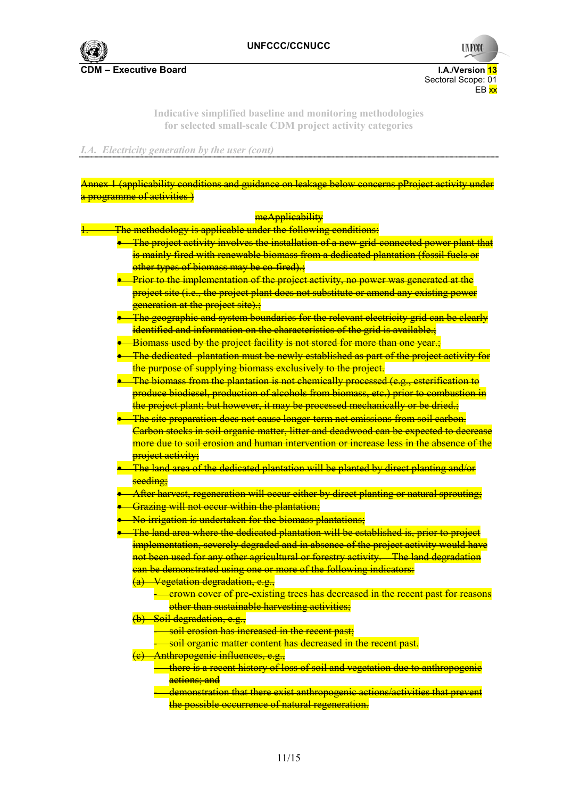

**UNFCCC** 

**Indicative simplified baseline and monitoring methodologies for selected small-scale CDM project activity categories** 

*I.A. Electricity generation by the user (cont)*

Annex 1 (applicability conditions and guidance on leakage below concerns pProject activity under a programme of activities ) meApplicability The methodology is applicable under the following conditions: • The project activity involves the installation of a new grid-connected power plant that is mainly fired with renewable biomass from a dedicated plantation (fossil fuels or other types of biomass may be co-fired). **Prior to the implementation of the project activity, no power was generated at the** project site (i.e., the project plant does not substitute or amend any existing power generation at the project site).; • The geographic and system boundaries for the relevant electricity grid can be clearly identified and information on the characteristics of the grid is available.; **Biomass used by the project facility is not stored for more than one year.;** • The dedicated plantation must be newly established as part of the project activity for the purpose of supplying biomass exclusively to the project. • The biomass from the plantation is not chemically processed (e.g., esterification to produce biodiesel, production of alcohols from biomass, etc.) prior to combustion in the project plant; but however, it may be processed mechanically or be dried.; • The site preparation does not cause longer-term net emissions from soil carbon. Carbon stocks in soil organic matter, litter and deadwood can be expected to decrease more due to soil erosion and human intervention or increase less in the absence of the project activity; • The land area of the dedicated plantation will be planted by direct planting and/or seeding: **• After harvest, regeneration will occur either by direct planting or natural sprouting;** • Grazing will not occur within the plantation; • No irrigation is undertaken for the biomass plantations; • The land area where the dedicated plantation will be established is, prior to project implementation, severely degraded and in absence of the project activity would have not been used for any other agricultural or forestry activity. The land degradation can be demonstrated using one or more of the following indicators: (a) Vegetation degradation, e.g., - crown cover of pre-existing trees has decreased in the recent past for reasons other than sustainable harvesting activities; (b) Soil degradation, e.g., soil erosion has increased in the recent past; - soil organic matter content has decreased in the recent past. (c) Anthropogenic influences, e.g., - there is a recent history of loss of soil and vegetation due to anthropogenic actions; and - demonstration that there exist anthropogenic actions/activities that prevent the possible occurrence of natural regeneration.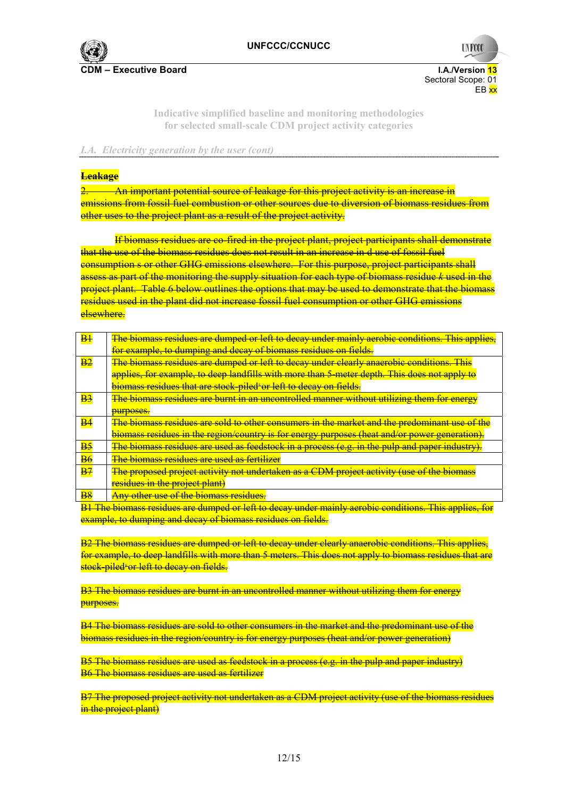

**UNFCCC** 

**Indicative simplified baseline and monitoring methodologies for selected small-scale CDM project activity categories** 

#### *I.A. Electricity generation by the user (cont)*

#### **Leakage**

2. An important potential source of leakage for this project activity is an increase in emissions from fossil fuel combustion or other sources due to diversion of biomass residues from other uses to the project plant as a result of the project activity.

If biomass residues are co-fired in the project plant, project participants shall demonstrate that the use of the biomass residues does not result in an increase in d use of fossil fuel consumption s or other GHG emissions elsewhere. For this purpose, project participants shall assess as part of the monitoring the supply situation for each type of biomass residue *k* used in the project plant. Table 6 below outlines the options that may be used to demonstrate that the biomass residues used in the plant did not increase fossil fuel consumption or other GHG emissions elsewhere.

| B <sub>1</sub>           | The biomass residues are dumped or left to decay under mainly aerobic conditions. This applies,      |
|--------------------------|------------------------------------------------------------------------------------------------------|
|                          | for example, to dumping and decay of biomass residues on fields.                                     |
| $\overline{{\bf B2}}$    | The biomass residues are dumped or left to decay under clearly anaerobic conditions. This            |
|                          | applies, for example, to deep landfills with more than 5-meter depth. This does not apply to         |
|                          | biomass residues that are stock-piled or left to decay on fields.                                    |
| <u>B3</u>                | The biomass residues are burnt in an uncontrolled manner without utilizing them for energy           |
|                          | <b>purposes.</b>                                                                                     |
| Β4                       | <u>The biomass residues are sold to other consumers in the market and the predominant use of the</u> |
|                          | biomass residues in the region/country is for energy purposes (heat and/or power generation).        |
| B <sub>5</sub>           | The biomass residues are used as feedstock in a process $(e.g.$ in the pulp and paper industry)      |
| B6                       | <u>The biomass residues are used as fertilizer</u>                                                   |
| $\overline{{\bf B7}}$    | The proposed project activity not undertaken as a CDM project activity (use of the biomass           |
|                          | residues in the project plant)                                                                       |
| $\overline{\mathbf{B8}}$ | Any other use of the biomass residues.                                                               |

B1 The biomass residues are dumped or left to decay under mainly aerobic conditions. This applies, for example, to dumping and decay of biomass residues on fields.

B2 The biomass residues are dumped or left to decay under clearly anaerobic conditions. This applies, for example, to deep landfills with more than 5 meters. This does not apply to biomass residues that are stock-piled<sup>-</sup>or left to decay on fields.

B3 The biomass residues are burnt in an uncontrolled manner without utilizing them for energy **purposes.** 

B4 The biomass residues are sold to other consumers in the market and the predominant use of the biomass residues in the region/country is for energy purposes (heat and/or power generation)

B5 The biomass residues are used as feedstock in a process (e.g. in the pulp and paper industry) B6 The biomass residues are used as fertilizer

B7 The proposed project activity not undertaken as a CDM project activity (use of the biomass residues in the project plant)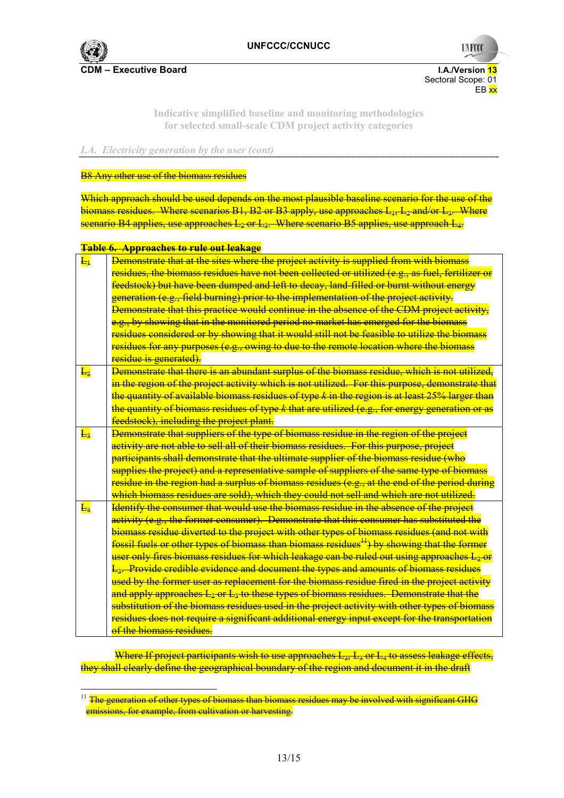

Sectoral Scope: 01<br>EB xx en de la provincia de la provincia de la provincia de la provincia de la provincia de la provincia de la provi

**UNFCCC** 

**Indicative simplified baseline and monitoring methodologies for selected small-scale CDM project activity categories** 

### *I.A. Electricity generation by the user (cont)*

#### **B8 Any other use of the biomass residues**

Which approach should be used depends on the most plausible baseline scenario for the use of the biomass residues. Where scenarios B1, B2 or B3 apply, use approaches L<sub>1</sub>, L<sub>2</sub> and/or L<sub>3</sub>. Where scenario B4 applies, use approaches  $L_2$  or  $L_3$ . Where scenario B5 applies, use approach  $L_4$ .

#### **Table 6. Approaches to rule out leakage**

| E <sub>1</sub> | Demonstrate that at the sites where the project activity is supplied from with biomass                             |
|----------------|--------------------------------------------------------------------------------------------------------------------|
|                | residues, the biomass residues have not been collected or utilized (e.g., as fuel, fertilizer or                   |
|                | feedstock) but have been dumped and left to decay, land-filled or burnt without energy                             |
|                | generation (e.g., field burning) prior to the implementation of the project activity.                              |
|                | Demonstrate that this practice would continue in the absence of the CDM project activity,                          |
|                | e.g., by showing that in the monitored period no market has emerged for the biomass                                |
|                | residues considered or by showing that it would still not be feasible to utilize the biomass                       |
|                | residues for any purposes (e.g., owing to due to the remote location where the biomass                             |
|                | residue is generated).                                                                                             |
| $E_2$          | Demonstrate that there is an abundant surplus of the biomass residue, which is not utilized,                       |
|                | in the region of the project activity which is not utilized. For this purpose, demonstrate that                    |
|                | the quantity of available biomass residues of type k in the region is at least 25% larger than                     |
|                | the quantity of biomass residues of type k that are utilized (e.g., for energy generation or as                    |
|                | feedstock), including the project plant.                                                                           |
| L <sub>3</sub> | Demonstrate that suppliers of the type of biomass residue in the region of the project                             |
|                | activity are not able to sell all of their biomass residues. For this purpose, project                             |
|                | participants shall demonstrate that the ultimate supplier of the biomass residue (who                              |
|                | supplies the project) and a representative sample of suppliers of the same type of biomass                         |
|                | residue in the region had a surplus of biomass residues (e.g., at the end of the period during                     |
|                | which biomass residues are sold), which they could not sell and which are not utilized.                            |
| $L_4$          | Identify the consumer that would use the biomass residue in the absence of the project                             |
|                | activity (e.g., the former consumer). Demonstrate that this consumer has substituted the                           |
|                | biomass residue diverted to the project with other types of biomass residues (and not with                         |
|                | fossil fuels or other types of biomass than biomass residues <sup>11</sup> ) by showing that the former            |
|                | <mark>user only fires biomass residues for which leakage can be ruled out using approaches L<sub>2</sub> or</mark> |
|                | L <sub>3</sub> . Provide credible evidence and document the types and amounts of biomass residues                  |
|                | used by the former user as replacement for the biomass residue fired in the project activity                       |
|                | and apply approaches L <sub>2</sub> or L <sub>3</sub> to these types of biomass residues. Demonstrate that the     |
|                | substitution of the biomass residues used in the project activity with other types of biomass                      |
|                | residues does not require a significant additional energy input except for the transportation                      |
|                | of the biomass residues.                                                                                           |

Where If project participants wish to use approaches  $L_2$ ,  $L_3$  or  $L_4$  to assess leakage effects, they shall clearly define the geographical boundary of the region and document it in the draft

<sup>&</sup>lt;sup>11</sup> The generation of other types of biomass than biomass residues may be involved with significant GHG emissions, for example, from cultivation or harvesting.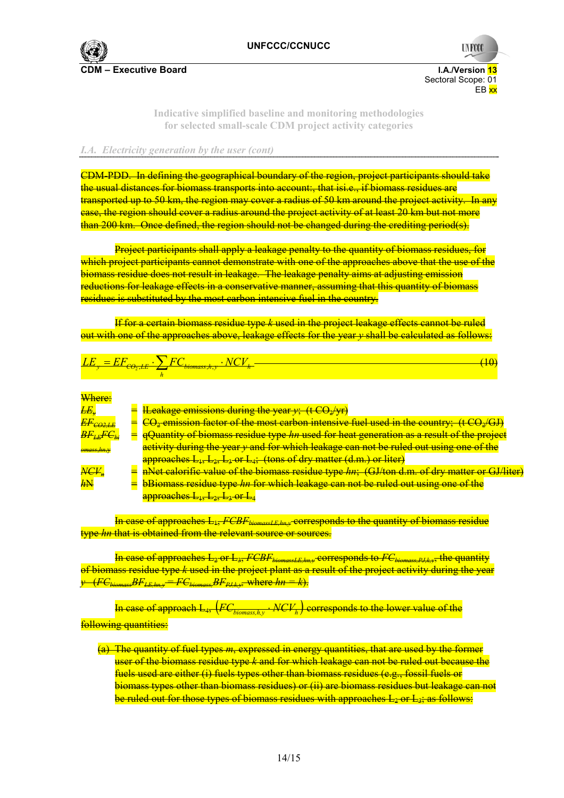

**UNFCCC** 

**Indicative simplified baseline and monitoring methodologies for selected small-scale CDM project activity categories** 

#### *I.A. Electricity generation by the user (cont)*

CDM-PDD. In defining the geographical boundary of the region, project participants should take the usual distances for biomass transports into account:, that isi.e., if biomass residues are transported up to 50 km, the region may cover a radius of 50 km around the project activity. In any case, the region should cover a radius around the project activity of at least 20 km but not more than 200 km. Once defined, the region should not be changed during the crediting period(s).

Project participants shall apply a leakage penalty to the quantity of biomass residues, for which project participants cannot demonstrate with one of the approaches above that the use of the biomass residue does not result in leakage. The leakage penalty aims at adjusting emission reductions for leakage effects in a conservative manner, assuming that this quantity of biomass residues is substituted by the most carbon intensive fuel in the country.

If for a certain biomass residue type *k* used in the project leakage effects cannot be ruled out with one of the approaches above, leakage effects for the year *y* shall be calculated as follows:

$$
LE_y = EF_{CO_2, LE} \cdot \sum_h FC_{biomass, h, y} \cdot NCV_h \tag{10}
$$

| <u> Where:</u>                             |                                                                                                     |
|--------------------------------------------|-----------------------------------------------------------------------------------------------------|
| LE.                                        | <b>ILeakage emissions during the year y;</b> $(t \text{ CO}_2/\text{yr})$                           |
| $\overline{\textit{EF}}_{\textit{CO2.LE}}$ | $CO2$ emission factor of the most carbon intensive fuel used in the country; (t $CO2/GI$ )          |
| $BF_{LE}$ F $C_{bi}$                       | <del>qQuantity of biomass residue type hn used for heat generation as a result of the project</del> |
| <mark>omass.hn.v</mark>                    | activity during the year y and for which leakage can not be ruled out using one of the              |
|                                            | approaches $L_1$ , $L_2$ , $L_3$ or $L_4$ ; (tons of dry matter (d.m.) or liter)                    |
| $\textit{NCF}_{\textit{n}}$                | nNet calorific value of the biomass residue type hn; (GJ/ton d.m. of dry matter or GJ/liter)        |
| $h\mathrm{N}$                              | bBiomass residue type hn for which leakage can not be ruled out using one of the                    |
|                                            | <del>approaches L<sub>1</sub>, L<sub>2</sub>, L<sub>2</sub> or L<sub>4</sub></del>                  |

In case of approaches L<sub>1</sub>, *FCBF* biomassLE kn, y corresponds to the quantity of biomass residue type *hn* that is obtained from the relevant source or sources.

In case of approaches L<sub>2</sub> or L<sub>3</sub>, *FCBF<sub>biomassLE hn*, corresponds to *FC*<sub>biomass</sub>, *PLk*, the quantity</sub> of biomass residue type *k* used in the project plant as a result of the project activity during the year  $\overline{GF_{\text{G}}(F_{\text{G}}(F_{\text{G}}(F_{\text{G}}(F_{\text{G}}(F_{\text{G}}(F_{\text{G}}(F_{\text{G}}(F_{\text{G}}(F_{\text{G}}(F_{\text{G}}(F_{\text{G}}(F_{\text{G}}(F_{\text{G}}(F_{\text{G}}(F_{\text{G}}(F_{\text{G}}(F_{\text{G}}(F_{\text{G}}(F_{\text{G}}(F_{\text{G}}(F_{\text{G}}(F_{\text{G}}(F_{\text{G}}(F_{\text{G}}(F_{\text{G}}(F_{\text{G}}$ 

In case of approach  $L_4$ ,  $(FC_{biomass,h,v} \cdot NCV_h)$  corresponds to the lower value of the

following quantities:

(a) The quantity of fuel types *m*, expressed in energy quantities, that are used by the former user of the biomass residue type *k* and for which leakage can not be ruled out because the fuels used are either (i) fuels types other than biomass residues (e.g., fossil fuels or biomass types other than biomass residues) or (ii) are biomass residues but leakage can not be ruled out for those types of biomass residues with approaches  $L_2$  or  $L_3$ ; as follows: